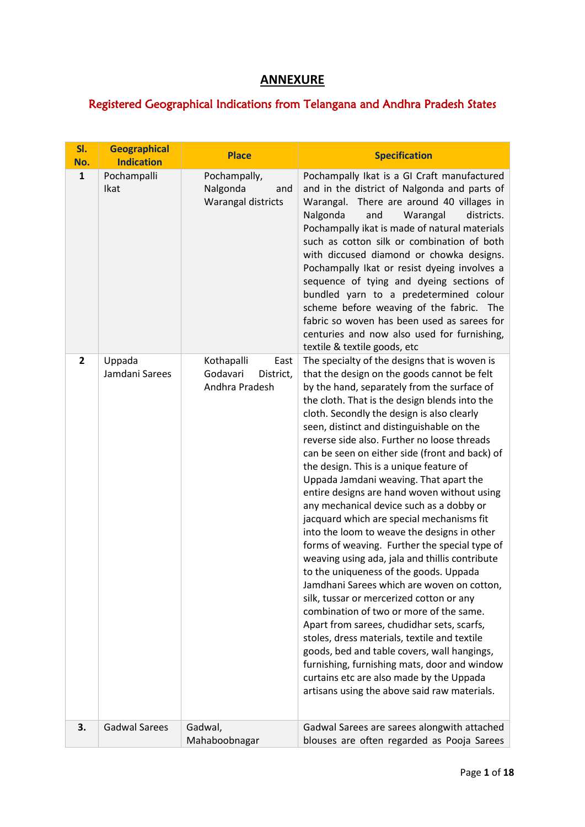## **ANNEXURE**

## Registered Geographical Indications from Telangana and Andhra Pradesh States

| SI.<br>No.     | <b>Geographical</b><br><b>Indication</b> | <b>Place</b>                                                  | <b>Specification</b>                                                                                                                                                                                                                                                                                                                                                                                                                                                                                                                                                                                                                                                                                                                                                                                                                                                                                                                                                                                                                                                                                                                                                                                                                            |
|----------------|------------------------------------------|---------------------------------------------------------------|-------------------------------------------------------------------------------------------------------------------------------------------------------------------------------------------------------------------------------------------------------------------------------------------------------------------------------------------------------------------------------------------------------------------------------------------------------------------------------------------------------------------------------------------------------------------------------------------------------------------------------------------------------------------------------------------------------------------------------------------------------------------------------------------------------------------------------------------------------------------------------------------------------------------------------------------------------------------------------------------------------------------------------------------------------------------------------------------------------------------------------------------------------------------------------------------------------------------------------------------------|
| $\mathbf{1}$   | Pochampalli<br>Ikat                      | Pochampally,<br>Nalgonda<br>and<br>Warangal districts         | Pochampally Ikat is a GI Craft manufactured<br>and in the district of Nalgonda and parts of<br>Warangal. There are around 40 villages in<br>Nalgonda<br>and<br>Warangal<br>districts.<br>Pochampally ikat is made of natural materials<br>such as cotton silk or combination of both<br>with diccused diamond or chowka designs.<br>Pochampally Ikat or resist dyeing involves a<br>sequence of tying and dyeing sections of<br>bundled yarn to a predetermined colour<br>scheme before weaving of the fabric. The<br>fabric so woven has been used as sarees for<br>centuries and now also used for furnishing,<br>textile & textile goods, etc                                                                                                                                                                                                                                                                                                                                                                                                                                                                                                                                                                                                |
| $\overline{2}$ | Uppada<br>Jamdani Sarees                 | Kothapalli<br>East<br>Godavari<br>District,<br>Andhra Pradesh | The specialty of the designs that is woven is<br>that the design on the goods cannot be felt<br>by the hand, separately from the surface of<br>the cloth. That is the design blends into the<br>cloth. Secondly the design is also clearly<br>seen, distinct and distinguishable on the<br>reverse side also. Further no loose threads<br>can be seen on either side (front and back) of<br>the design. This is a unique feature of<br>Uppada Jamdani weaving. That apart the<br>entire designs are hand woven without using<br>any mechanical device such as a dobby or<br>jacquard which are special mechanisms fit<br>into the loom to weave the designs in other<br>forms of weaving. Further the special type of<br>weaving using ada, jala and thillis contribute<br>to the uniqueness of the goods. Uppada<br>Jamdhani Sarees which are woven on cotton,<br>silk, tussar or mercerized cotton or any<br>combination of two or more of the same.<br>Apart from sarees, chudidhar sets, scarfs,<br>stoles, dress materials, textile and textile<br>goods, bed and table covers, wall hangings,<br>furnishing, furnishing mats, door and window<br>curtains etc are also made by the Uppada<br>artisans using the above said raw materials. |
| 3.             | <b>Gadwal Sarees</b>                     | Gadwal,<br>Mahaboobnagar                                      | Gadwal Sarees are sarees alongwith attached<br>blouses are often regarded as Pooja Sarees                                                                                                                                                                                                                                                                                                                                                                                                                                                                                                                                                                                                                                                                                                                                                                                                                                                                                                                                                                                                                                                                                                                                                       |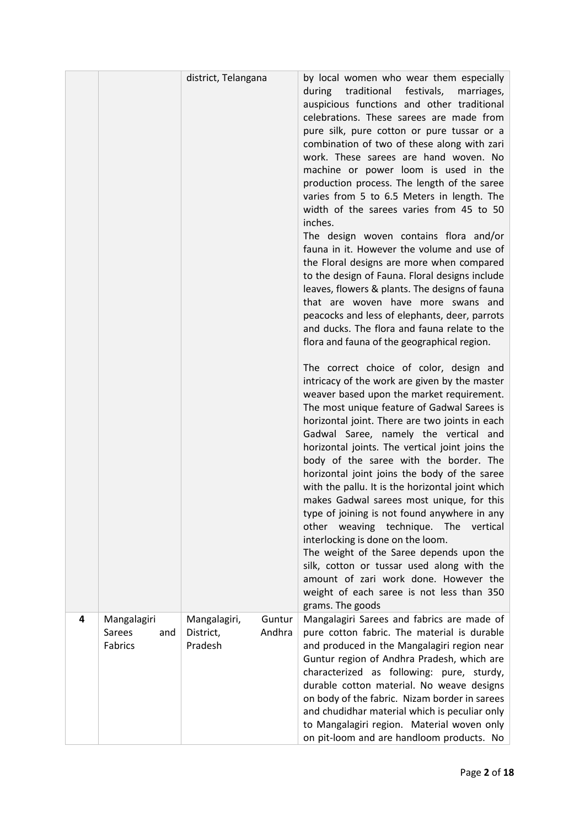|   |                                         | district, Telangana                  |                  | by local women who wear them especially<br>during traditional<br>festivals,<br>marriages,<br>auspicious functions and other traditional<br>celebrations. These sarees are made from<br>pure silk, pure cotton or pure tussar or a<br>combination of two of these along with zari<br>work. These sarees are hand woven. No<br>machine or power loom is used in the<br>production process. The length of the saree<br>varies from 5 to 6.5 Meters in length. The<br>width of the sarees varies from 45 to 50<br>inches.<br>The design woven contains flora and/or<br>fauna in it. However the volume and use of<br>the Floral designs are more when compared<br>to the design of Fauna. Floral designs include<br>leaves, flowers & plants. The designs of fauna<br>that are woven have more swans and<br>peacocks and less of elephants, deer, parrots<br>and ducks. The flora and fauna relate to the<br>flora and fauna of the geographical region.<br>The correct choice of color, design and<br>intricacy of the work are given by the master<br>weaver based upon the market requirement.<br>The most unique feature of Gadwal Sarees is<br>horizontal joint. There are two joints in each<br>Gadwal Saree, namely the vertical and<br>horizontal joints. The vertical joint joins the<br>body of the saree with the border. The<br>horizontal joint joins the body of the saree<br>with the pallu. It is the horizontal joint which<br>makes Gadwal sarees most unique, for this<br>type of joining is not found anywhere in any<br>other weaving technique.<br>The<br>vertical<br>interlocking is done on the loom.<br>The weight of the Saree depends upon the<br>silk, cotton or tussar used along with the<br>amount of zari work done. However the<br>weight of each saree is not less than 350<br>grams. The goods |
|---|-----------------------------------------|--------------------------------------|------------------|-------------------------------------------------------------------------------------------------------------------------------------------------------------------------------------------------------------------------------------------------------------------------------------------------------------------------------------------------------------------------------------------------------------------------------------------------------------------------------------------------------------------------------------------------------------------------------------------------------------------------------------------------------------------------------------------------------------------------------------------------------------------------------------------------------------------------------------------------------------------------------------------------------------------------------------------------------------------------------------------------------------------------------------------------------------------------------------------------------------------------------------------------------------------------------------------------------------------------------------------------------------------------------------------------------------------------------------------------------------------------------------------------------------------------------------------------------------------------------------------------------------------------------------------------------------------------------------------------------------------------------------------------------------------------------------------------------------------------------------------------------------------------------------------------------------------------------|
| 4 | Mangalagiri<br>Sarees<br>and<br>Fabrics | Mangalagiri,<br>District,<br>Pradesh | Guntur<br>Andhra | Mangalagiri Sarees and fabrics are made of<br>pure cotton fabric. The material is durable<br>and produced in the Mangalagiri region near<br>Guntur region of Andhra Pradesh, which are<br>characterized as following: pure, sturdy,<br>durable cotton material. No weave designs<br>on body of the fabric. Nizam border in sarees<br>and chudidhar material which is peculiar only<br>to Mangalagiri region. Material woven only<br>on pit-loom and are handloom products. No                                                                                                                                                                                                                                                                                                                                                                                                                                                                                                                                                                                                                                                                                                                                                                                                                                                                                                                                                                                                                                                                                                                                                                                                                                                                                                                                                 |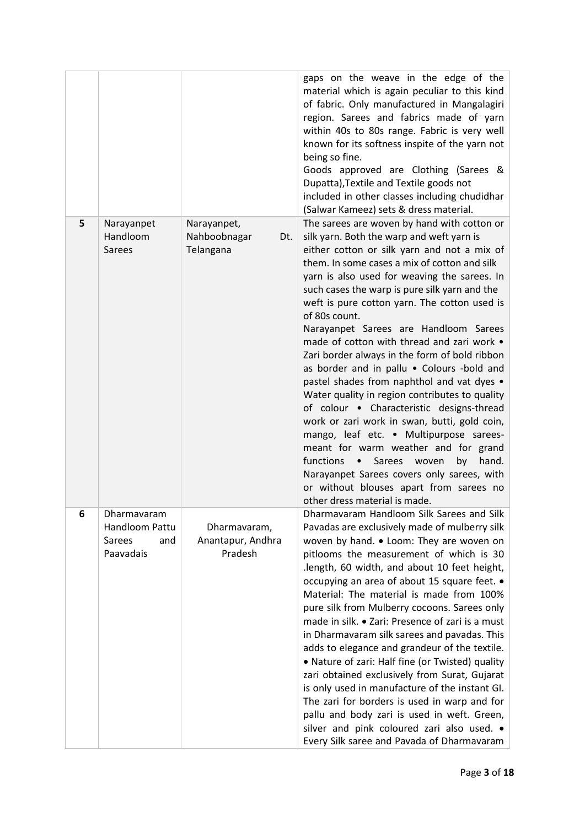|   |                                                             |                                                 | gaps on the weave in the edge of the<br>material which is again peculiar to this kind<br>of fabric. Only manufactured in Mangalagiri<br>region. Sarees and fabrics made of yarn<br>within 40s to 80s range. Fabric is very well<br>known for its softness inspite of the yarn not<br>being so fine.<br>Goods approved are Clothing (Sarees &<br>Dupatta), Textile and Textile goods not<br>included in other classes including chudidhar<br>(Salwar Kameez) sets & dress material.                                                                                                                                                                                                                                                                                                                                                                                                                                                                                                                                    |
|---|-------------------------------------------------------------|-------------------------------------------------|-----------------------------------------------------------------------------------------------------------------------------------------------------------------------------------------------------------------------------------------------------------------------------------------------------------------------------------------------------------------------------------------------------------------------------------------------------------------------------------------------------------------------------------------------------------------------------------------------------------------------------------------------------------------------------------------------------------------------------------------------------------------------------------------------------------------------------------------------------------------------------------------------------------------------------------------------------------------------------------------------------------------------|
| 5 | Narayanpet<br>Handloom<br><b>Sarees</b>                     | Narayanpet,<br>Nahboobnagar<br>Dt.<br>Telangana | The sarees are woven by hand with cotton or<br>silk yarn. Both the warp and weft yarn is<br>either cotton or silk yarn and not a mix of<br>them. In some cases a mix of cotton and silk<br>yarn is also used for weaving the sarees. In<br>such cases the warp is pure silk yarn and the<br>weft is pure cotton yarn. The cotton used is<br>of 80s count.<br>Narayanpet Sarees are Handloom Sarees<br>made of cotton with thread and zari work .<br>Zari border always in the form of bold ribbon<br>as border and in pallu . Colours -bold and<br>pastel shades from naphthol and vat dyes .<br>Water quality in region contributes to quality<br>of colour . Characteristic designs-thread<br>work or zari work in swan, butti, gold coin,<br>mango, leaf etc. • Multipurpose sarees-<br>meant for warm weather and for grand<br>functions<br>Sarees<br>woven<br>by<br>hand.<br>$\bullet$<br>Narayanpet Sarees covers only sarees, with<br>or without blouses apart from sarees no<br>other dress material is made. |
| 6 | Dharmavaram<br>Handloom Pattu<br>Sarees<br>and<br>Paavadais | Dharmavaram,<br>Anantapur, Andhra<br>Pradesh    | Dharmavaram Handloom Silk Sarees and Silk<br>Pavadas are exclusively made of mulberry silk<br>woven by hand. • Loom: They are woven on<br>pitlooms the measurement of which is 30<br>length, 60 width, and about 10 feet height,<br>occupying an area of about 15 square feet. •<br>Material: The material is made from 100%<br>pure silk from Mulberry cocoons. Sarees only<br>made in silk. • Zari: Presence of zari is a must<br>in Dharmavaram silk sarees and pavadas. This<br>adds to elegance and grandeur of the textile.<br>• Nature of zari: Half fine (or Twisted) quality<br>zari obtained exclusively from Surat, Gujarat<br>is only used in manufacture of the instant GI.<br>The zari for borders is used in warp and for<br>pallu and body zari is used in weft. Green,<br>silver and pink coloured zari also used. •<br>Every Silk saree and Pavada of Dharmavaram                                                                                                                                   |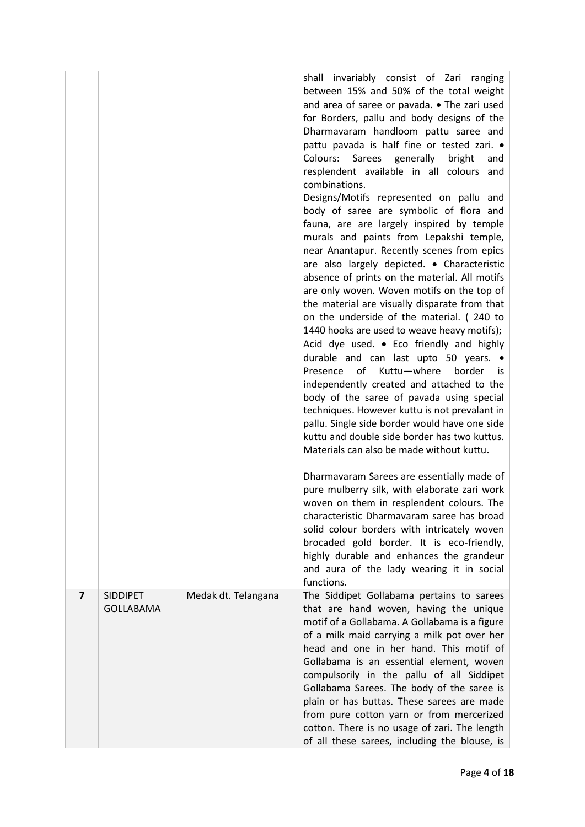|                |                  |                     | shall invariably consist of Zari<br>ranging<br>between 15% and 50% of the total weight         |
|----------------|------------------|---------------------|------------------------------------------------------------------------------------------------|
|                |                  |                     | and area of saree or pavada. • The zari used<br>for Borders, pallu and body designs of the     |
|                |                  |                     | Dharmavaram handloom pattu saree and                                                           |
|                |                  |                     | pattu pavada is half fine or tested zari. .                                                    |
|                |                  |                     | Colours: Sarees generally<br>bright<br>and<br>resplendent available in all colours and         |
|                |                  |                     | combinations.                                                                                  |
|                |                  |                     | Designs/Motifs represented on pallu and                                                        |
|                |                  |                     | body of saree are symbolic of flora and<br>fauna, are are largely inspired by temple           |
|                |                  |                     | murals and paints from Lepakshi temple,                                                        |
|                |                  |                     | near Anantapur. Recently scenes from epics                                                     |
|                |                  |                     | are also largely depicted. • Characteristic<br>absence of prints on the material. All motifs   |
|                |                  |                     | are only woven. Woven motifs on the top of                                                     |
|                |                  |                     | the material are visually disparate from that                                                  |
|                |                  |                     | on the underside of the material. (240 to<br>1440 hooks are used to weave heavy motifs);       |
|                |                  |                     | Acid dye used. • Eco friendly and highly                                                       |
|                |                  |                     | durable and can last upto 50 years. •                                                          |
|                |                  |                     | of<br>Kuttu-where<br>border<br>Presence<br>is.<br>independently created and attached to the    |
|                |                  |                     | body of the saree of pavada using special                                                      |
|                |                  |                     | techniques. However kuttu is not prevalant in<br>pallu. Single side border would have one side |
|                |                  |                     | kuttu and double side border has two kuttus.                                                   |
|                |                  |                     | Materials can also be made without kuttu.                                                      |
|                |                  |                     | Dharmavaram Sarees are essentially made of<br>pure mulberry silk, with elaborate zari work     |
|                |                  |                     | woven on them in resplendent colours. The                                                      |
|                |                  |                     | characteristic Dharmavaram saree has broad                                                     |
|                |                  |                     | solid colour borders with intricately woven<br>brocaded gold border. It is eco-friendly,       |
|                |                  |                     | highly durable and enhances the grandeur                                                       |
|                |                  |                     | and aura of the lady wearing it in social<br>functions.                                        |
| $\overline{7}$ | <b>SIDDIPET</b>  | Medak dt. Telangana | The Siddipet Gollabama pertains to sarees                                                      |
|                | <b>GOLLABAMA</b> |                     | that are hand woven, having the unique                                                         |
|                |                  |                     | motif of a Gollabama. A Gollabama is a figure<br>of a milk maid carrying a milk pot over her   |
|                |                  |                     | head and one in her hand. This motif of                                                        |
|                |                  |                     | Gollabama is an essential element, woven<br>compulsorily in the pallu of all Siddipet          |
|                |                  |                     | Gollabama Sarees. The body of the saree is                                                     |
|                |                  |                     | plain or has buttas. These sarees are made                                                     |
|                |                  |                     | from pure cotton yarn or from mercerized<br>cotton. There is no usage of zari. The length      |
|                |                  |                     | of all these sarees, including the blouse, is                                                  |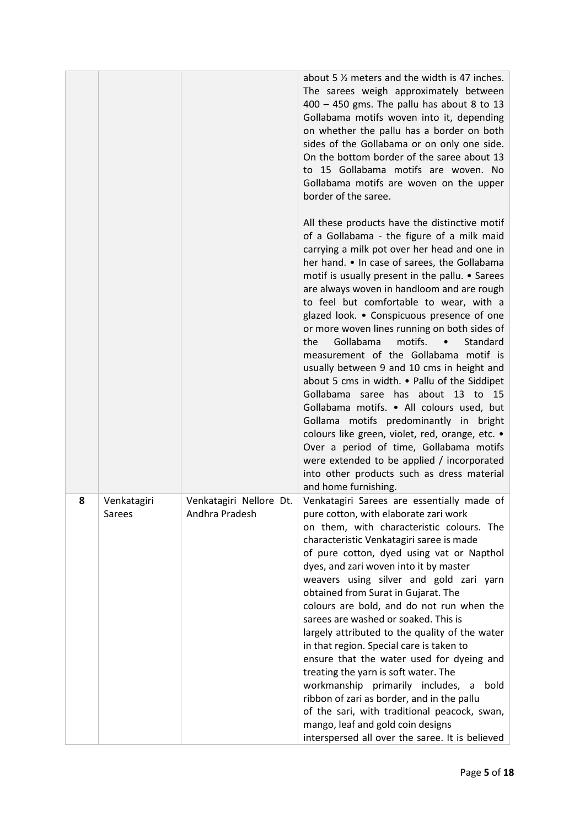|   |                       |                                           | about 5 % meters and the width is 47 inches.<br>The sarees weigh approximately between<br>400 - 450 gms. The pallu has about 8 to 13<br>Gollabama motifs woven into it, depending<br>on whether the pallu has a border on both<br>sides of the Gollabama or on only one side.<br>On the bottom border of the saree about 13<br>to 15 Gollabama motifs are woven. No<br>Gollabama motifs are woven on the upper<br>border of the saree.                                                                                                                                                                                                                                                                                                                                                                                                                                                                                                                                  |
|---|-----------------------|-------------------------------------------|-------------------------------------------------------------------------------------------------------------------------------------------------------------------------------------------------------------------------------------------------------------------------------------------------------------------------------------------------------------------------------------------------------------------------------------------------------------------------------------------------------------------------------------------------------------------------------------------------------------------------------------------------------------------------------------------------------------------------------------------------------------------------------------------------------------------------------------------------------------------------------------------------------------------------------------------------------------------------|
|   |                       |                                           | All these products have the distinctive motif<br>of a Gollabama - the figure of a milk maid<br>carrying a milk pot over her head and one in<br>her hand. • In case of sarees, the Gollabama<br>motif is usually present in the pallu. • Sarees<br>are always woven in handloom and are rough<br>to feel but comfortable to wear, with a<br>glazed look. • Conspicuous presence of one<br>or more woven lines running on both sides of<br>Gollabama<br>motifs.<br>Standard<br>the<br>measurement of the Gollabama motif is<br>usually between 9 and 10 cms in height and<br>about 5 cms in width. . Pallu of the Siddipet<br>Gollabama saree has about 13 to 15<br>Gollabama motifs. . All colours used, but<br>Gollama motifs predominantly in bright<br>colours like green, violet, red, orange, etc. •<br>Over a period of time, Gollabama motifs<br>were extended to be applied / incorporated<br>into other products such as dress material<br>and home furnishing. |
| 8 | Venkatagiri<br>Sarees | Venkatagiri Nellore Dt.<br>Andhra Pradesh | Venkatagiri Sarees are essentially made of<br>pure cotton, with elaborate zari work<br>on them, with characteristic colours. The<br>characteristic Venkatagiri saree is made<br>of pure cotton, dyed using vat or Napthol<br>dyes, and zari woven into it by master<br>weavers using silver and gold zari yarn<br>obtained from Surat in Gujarat. The<br>colours are bold, and do not run when the<br>sarees are washed or soaked. This is<br>largely attributed to the quality of the water<br>in that region. Special care is taken to<br>ensure that the water used for dyeing and<br>treating the yarn is soft water. The<br>workmanship primarily includes, a<br>bold<br>ribbon of zari as border, and in the pallu<br>of the sari, with traditional peacock, swan,<br>mango, leaf and gold coin designs<br>interspersed all over the saree. It is believed                                                                                                        |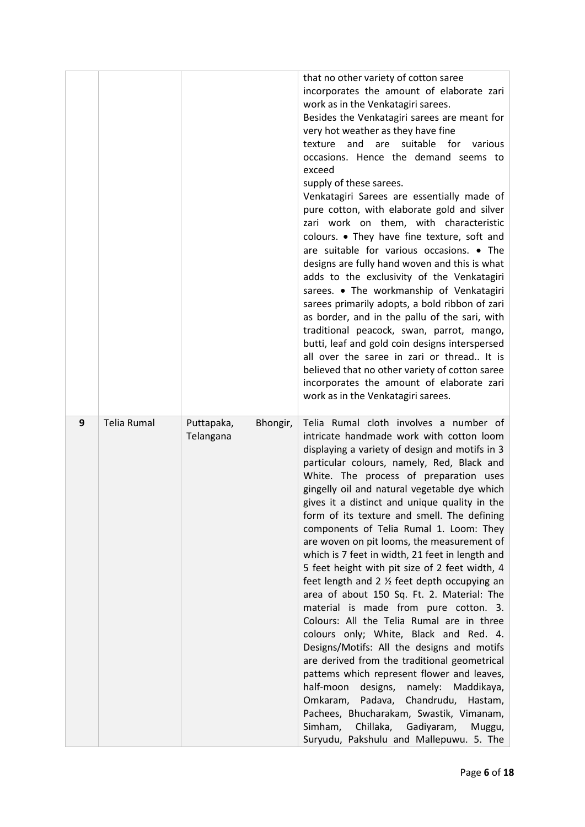|   |                    |                                     | that no other variety of cotton saree<br>incorporates the amount of elaborate zari<br>work as in the Venkatagiri sarees.<br>Besides the Venkatagiri sarees are meant for<br>very hot weather as they have fine<br>suitable for<br>and<br>are<br>various<br>texture<br>occasions. Hence the demand seems to<br>exceed<br>supply of these sarees.<br>Venkatagiri Sarees are essentially made of<br>pure cotton, with elaborate gold and silver<br>zari work on them, with characteristic<br>colours. • They have fine texture, soft and<br>are suitable for various occasions. • The<br>designs are fully hand woven and this is what<br>adds to the exclusivity of the Venkatagiri<br>sarees. • The workmanship of Venkatagiri<br>sarees primarily adopts, a bold ribbon of zari<br>as border, and in the pallu of the sari, with<br>traditional peacock, swan, parrot, mango,<br>butti, leaf and gold coin designs interspersed<br>all over the saree in zari or thread It is<br>believed that no other variety of cotton saree<br>incorporates the amount of elaborate zari<br>work as in the Venkatagiri sarees.                                                                                      |
|---|--------------------|-------------------------------------|---------------------------------------------------------------------------------------------------------------------------------------------------------------------------------------------------------------------------------------------------------------------------------------------------------------------------------------------------------------------------------------------------------------------------------------------------------------------------------------------------------------------------------------------------------------------------------------------------------------------------------------------------------------------------------------------------------------------------------------------------------------------------------------------------------------------------------------------------------------------------------------------------------------------------------------------------------------------------------------------------------------------------------------------------------------------------------------------------------------------------------------------------------------------------------------------------------|
| 9 | <b>Telia Rumal</b> | Puttapaka,<br>Bhongir,<br>Telangana | Telia Rumal cloth involves a number of<br>intricate handmade work with cotton loom<br>displaying a variety of design and motifs in 3<br>particular colours, namely, Red, Black and<br>White. The process of preparation uses<br>gingelly oil and natural vegetable dye which<br>gives it a distinct and unique quality in the<br>form of its texture and smell. The defining<br>components of Telia Rumal 1. Loom: They<br>are woven on pit looms, the measurement of<br>which is 7 feet in width, 21 feet in length and<br>5 feet height with pit size of 2 feet width, 4<br>feet length and 2 $\frac{1}{2}$ feet depth occupying an<br>area of about 150 Sq. Ft. 2. Material: The<br>material is made from pure cotton. 3.<br>Colours: All the Telia Rumal are in three<br>colours only; White, Black and Red. 4.<br>Designs/Motifs: All the designs and motifs<br>are derived from the traditional geometrical<br>pattems which represent flower and leaves,<br>half-moon<br>designs,<br>namely:<br>Maddikaya,<br>Chandrudu,<br>Omkaram,<br>Padava,<br>Hastam,<br>Pachees, Bhucharakam, Swastik, Vimanam,<br>Simham,<br>Chillaka,<br>Gadiyaram,<br>Muggu,<br>Suryudu, Pakshulu and Mallepuwu. 5. The |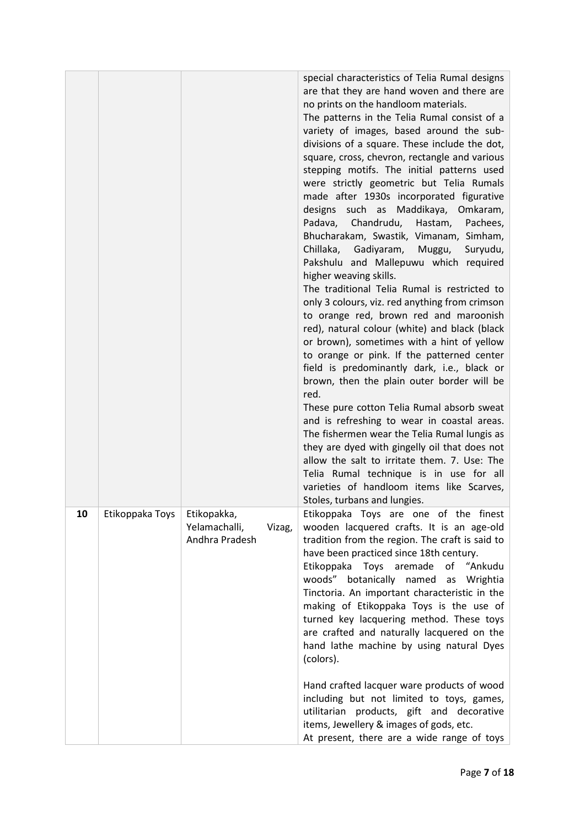|    |                 |                                                |        | special characteristics of Telia Rumal designs<br>are that they are hand woven and there are<br>no prints on the handloom materials.<br>The patterns in the Telia Rumal consist of a<br>variety of images, based around the sub-<br>divisions of a square. These include the dot,<br>square, cross, chevron, rectangle and various<br>stepping motifs. The initial patterns used<br>were strictly geometric but Telia Rumals<br>made after 1930s incorporated figurative<br>designs such as Maddikaya,<br>Omkaram,<br>Chandrudu,<br>Padava,<br>Hastam,<br>Pachees,<br>Bhucharakam, Swastik, Vimanam, Simham,<br>Chillaka, Gadiyaram, Muggu,<br>Suryudu,<br>Pakshulu and Mallepuwu which required<br>higher weaving skills.<br>The traditional Telia Rumal is restricted to<br>only 3 colours, viz. red anything from crimson<br>to orange red, brown red and maroonish<br>red), natural colour (white) and black (black<br>or brown), sometimes with a hint of yellow<br>to orange or pink. If the patterned center<br>field is predominantly dark, i.e., black or<br>brown, then the plain outer border will be<br>red.<br>These pure cotton Telia Rumal absorb sweat<br>and is refreshing to wear in coastal areas.<br>The fishermen wear the Telia Rumal lungis as<br>they are dyed with gingelly oil that does not<br>allow the salt to irritate them. 7. Use: The<br>Telia Rumal technique is in use for all<br>varieties of handloom items like Scarves,<br>Stoles, turbans and lungies. |
|----|-----------------|------------------------------------------------|--------|------------------------------------------------------------------------------------------------------------------------------------------------------------------------------------------------------------------------------------------------------------------------------------------------------------------------------------------------------------------------------------------------------------------------------------------------------------------------------------------------------------------------------------------------------------------------------------------------------------------------------------------------------------------------------------------------------------------------------------------------------------------------------------------------------------------------------------------------------------------------------------------------------------------------------------------------------------------------------------------------------------------------------------------------------------------------------------------------------------------------------------------------------------------------------------------------------------------------------------------------------------------------------------------------------------------------------------------------------------------------------------------------------------------------------------------------------------------------------------------------|
| 10 | Etikoppaka Toys | Etikopakka,<br>Yelamachalli,<br>Andhra Pradesh | Vizag, | Etikoppaka Toys are one of the finest<br>wooden lacquered crafts. It is an age-old<br>tradition from the region. The craft is said to<br>have been practiced since 18th century.<br>Etikoppaka Toys aremade of "Ankudu<br>woods" botanically named as Wrightia<br>Tinctoria. An important characteristic in the<br>making of Etikoppaka Toys is the use of<br>turned key lacquering method. These toys<br>are crafted and naturally lacquered on the<br>hand lathe machine by using natural Dyes<br>(colors).                                                                                                                                                                                                                                                                                                                                                                                                                                                                                                                                                                                                                                                                                                                                                                                                                                                                                                                                                                                  |
|    |                 |                                                |        | Hand crafted lacquer ware products of wood<br>including but not limited to toys, games,<br>utilitarian products, gift and decorative<br>items, Jewellery & images of gods, etc.<br>At present, there are a wide range of toys                                                                                                                                                                                                                                                                                                                                                                                                                                                                                                                                                                                                                                                                                                                                                                                                                                                                                                                                                                                                                                                                                                                                                                                                                                                                  |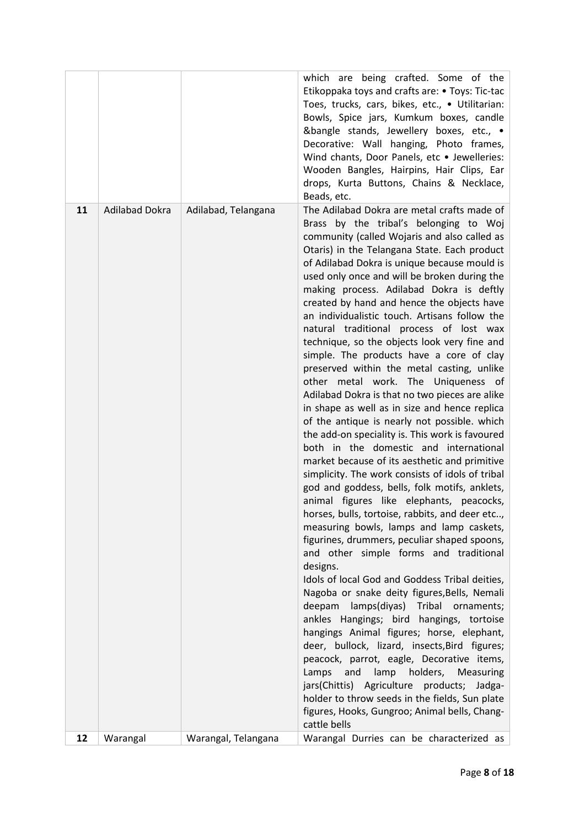|    |                       |                     | which are being crafted. Some of the<br>Etikoppaka toys and crafts are: • Toys: Tic-tac<br>Toes, trucks, cars, bikes, etc., • Utilitarian:                                                                                                                                                                                                                                                                                                                                                                                                                                                                                                                                                                                                                                                                                                                                                                                                                                                                                                                                                                                                                                                                                                                                                                                                                                                                                                                                                                                                                                                                                                                                                                                                                                                                                                           |
|----|-----------------------|---------------------|------------------------------------------------------------------------------------------------------------------------------------------------------------------------------------------------------------------------------------------------------------------------------------------------------------------------------------------------------------------------------------------------------------------------------------------------------------------------------------------------------------------------------------------------------------------------------------------------------------------------------------------------------------------------------------------------------------------------------------------------------------------------------------------------------------------------------------------------------------------------------------------------------------------------------------------------------------------------------------------------------------------------------------------------------------------------------------------------------------------------------------------------------------------------------------------------------------------------------------------------------------------------------------------------------------------------------------------------------------------------------------------------------------------------------------------------------------------------------------------------------------------------------------------------------------------------------------------------------------------------------------------------------------------------------------------------------------------------------------------------------------------------------------------------------------------------------------------------------|
|    |                       |                     | Bowls, Spice jars, Kumkum boxes, candle<br>&bangle stands, Jewellery boxes, etc., •<br>Decorative: Wall hanging, Photo frames,<br>Wind chants, Door Panels, etc • Jewelleries:<br>Wooden Bangles, Hairpins, Hair Clips, Ear<br>drops, Kurta Buttons, Chains & Necklace,<br>Beads, etc.                                                                                                                                                                                                                                                                                                                                                                                                                                                                                                                                                                                                                                                                                                                                                                                                                                                                                                                                                                                                                                                                                                                                                                                                                                                                                                                                                                                                                                                                                                                                                               |
| 11 | <b>Adilabad Dokra</b> | Adilabad, Telangana | The Adilabad Dokra are metal crafts made of<br>Brass by the tribal's belonging to Woj<br>community (called Wojaris and also called as<br>Otaris) in the Telangana State. Each product<br>of Adilabad Dokra is unique because mould is<br>used only once and will be broken during the<br>making process. Adilabad Dokra is deftly<br>created by hand and hence the objects have<br>an individualistic touch. Artisans follow the<br>natural traditional process of lost wax<br>technique, so the objects look very fine and<br>simple. The products have a core of clay<br>preserved within the metal casting, unlike<br>other metal work. The Uniqueness of<br>Adilabad Dokra is that no two pieces are alike<br>in shape as well as in size and hence replica<br>of the antique is nearly not possible. which<br>the add-on speciality is. This work is favoured<br>both in the domestic and international<br>market because of its aesthetic and primitive<br>simplicity. The work consists of idols of tribal<br>god and goddess, bells, folk motifs, anklets,<br>animal figures like elephants, peacocks,<br>horses, bulls, tortoise, rabbits, and deer etc,<br>measuring bowls, lamps and lamp caskets,<br>figurines, drummers, peculiar shaped spoons,<br>and other simple forms and traditional<br>designs.<br>Idols of local God and Goddess Tribal deities,<br>Nagoba or snake deity figures, Bells, Nemali<br>deepam lamps(diyas) Tribal ornaments;<br>ankles Hangings; bird hangings, tortoise<br>hangings Animal figures; horse, elephant,<br>deer, bullock, lizard, insects, Bird figures;<br>peacock, parrot, eagle, Decorative items,<br>and<br>lamp<br>holders, Measuring<br>Lamps<br>jars(Chittis) Agriculture products; Jadga-<br>holder to throw seeds in the fields, Sun plate<br>figures, Hooks, Gungroo; Animal bells, Chang- |
| 12 | Warangal              | Warangal, Telangana | cattle bells<br>Warangal Durries can be characterized as                                                                                                                                                                                                                                                                                                                                                                                                                                                                                                                                                                                                                                                                                                                                                                                                                                                                                                                                                                                                                                                                                                                                                                                                                                                                                                                                                                                                                                                                                                                                                                                                                                                                                                                                                                                             |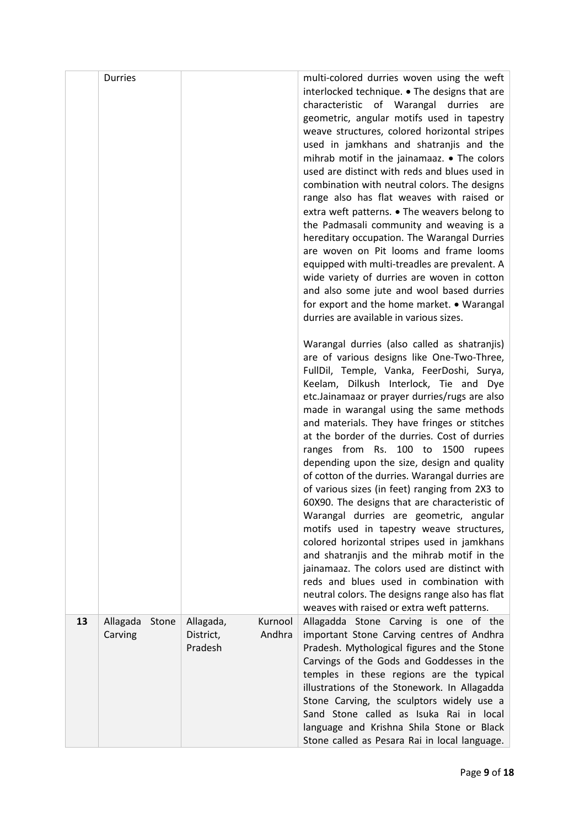|    | <b>Durries</b>               |                                   |                   | multi-colored durries woven using the weft<br>interlocked technique. • The designs that are<br>characteristic of Warangal durries<br>are<br>geometric, angular motifs used in tapestry<br>weave structures, colored horizontal stripes<br>used in jamkhans and shatranjis and the<br>mihrab motif in the jainamaaz. • The colors<br>used are distinct with reds and blues used in<br>combination with neutral colors. The designs<br>range also has flat weaves with raised or<br>extra weft patterns. • The weavers belong to<br>the Padmasali community and weaving is a<br>hereditary occupation. The Warangal Durries<br>are woven on Pit looms and frame looms<br>equipped with multi-treadles are prevalent. A<br>wide variety of durries are woven in cotton<br>and also some jute and wool based durries<br>for export and the home market. • Warangal<br>durries are available in various sizes.<br>Warangal durries (also called as shatranjis)<br>are of various designs like One-Two-Three,<br>FullDil, Temple, Vanka, FeerDoshi, Surya,<br>Keelam, Dilkush Interlock, Tie and Dye<br>etc.Jainamaaz or prayer durries/rugs are also<br>made in warangal using the same methods<br>and materials. They have fringes or stitches<br>at the border of the durries. Cost of durries<br>ranges from Rs.<br>100 to 1500<br>rupees<br>depending upon the size, design and quality<br>of cotton of the durries. Warangal durries are<br>of various sizes (in feet) ranging from 2X3 to<br>60X90. The designs that are characteristic of<br>Warangal durries are geometric, angular<br>motifs used in tapestry weave structures,<br>colored horizontal stripes used in jamkhans<br>and shatranjis and the mihrab motif in the<br>jainamaaz. The colors used are distinct with<br>reds and blues used in combination with<br>neutral colors. The designs range also has flat<br>weaves with raised or extra weft patterns. |
|----|------------------------------|-----------------------------------|-------------------|------------------------------------------------------------------------------------------------------------------------------------------------------------------------------------------------------------------------------------------------------------------------------------------------------------------------------------------------------------------------------------------------------------------------------------------------------------------------------------------------------------------------------------------------------------------------------------------------------------------------------------------------------------------------------------------------------------------------------------------------------------------------------------------------------------------------------------------------------------------------------------------------------------------------------------------------------------------------------------------------------------------------------------------------------------------------------------------------------------------------------------------------------------------------------------------------------------------------------------------------------------------------------------------------------------------------------------------------------------------------------------------------------------------------------------------------------------------------------------------------------------------------------------------------------------------------------------------------------------------------------------------------------------------------------------------------------------------------------------------------------------------------------------------------------------------------------------------------------------------------------------------------------------------------------|
| 13 | Allagada<br>Stone<br>Carving | Allagada,<br>District,<br>Pradesh | Kurnool<br>Andhra | Allagadda Stone Carving is one of the<br>important Stone Carving centres of Andhra<br>Pradesh. Mythological figures and the Stone                                                                                                                                                                                                                                                                                                                                                                                                                                                                                                                                                                                                                                                                                                                                                                                                                                                                                                                                                                                                                                                                                                                                                                                                                                                                                                                                                                                                                                                                                                                                                                                                                                                                                                                                                                                            |
|    |                              |                                   |                   | Carvings of the Gods and Goddesses in the<br>temples in these regions are the typical<br>illustrations of the Stonework. In Allagadda<br>Stone Carving, the sculptors widely use a<br>Sand Stone called as Isuka Rai in local<br>language and Krishna Shila Stone or Black<br>Stone called as Pesara Rai in local language.                                                                                                                                                                                                                                                                                                                                                                                                                                                                                                                                                                                                                                                                                                                                                                                                                                                                                                                                                                                                                                                                                                                                                                                                                                                                                                                                                                                                                                                                                                                                                                                                  |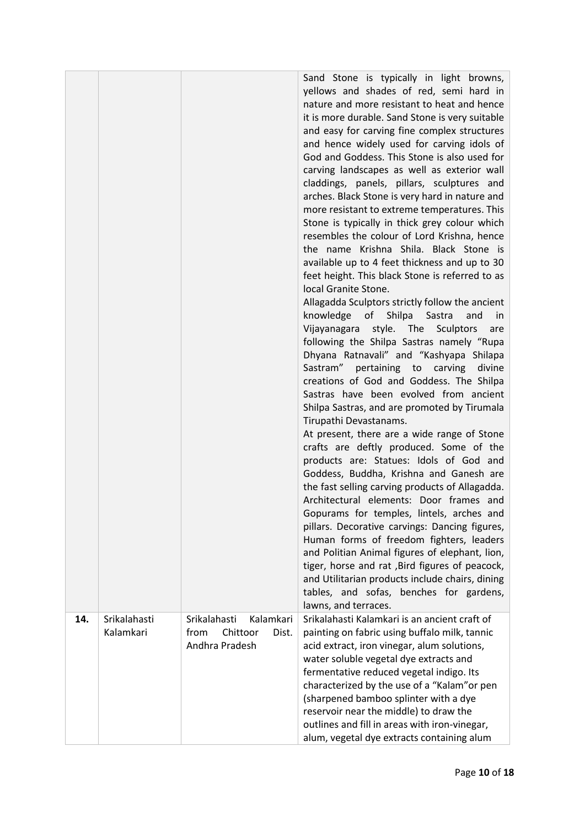|     |                           |                                                                          | Sand Stone is typically in light browns,<br>yellows and shades of red, semi hard in<br>nature and more resistant to heat and hence<br>it is more durable. Sand Stone is very suitable<br>and easy for carving fine complex structures<br>and hence widely used for carving idols of<br>God and Goddess. This Stone is also used for<br>carving landscapes as well as exterior wall<br>claddings, panels, pillars, sculptures and<br>arches. Black Stone is very hard in nature and<br>more resistant to extreme temperatures. This<br>Stone is typically in thick grey colour which<br>resembles the colour of Lord Krishna, hence<br>the name Krishna Shila. Black Stone is<br>available up to 4 feet thickness and up to 30<br>feet height. This black Stone is referred to as<br>local Granite Stone.<br>Allagadda Sculptors strictly follow the ancient<br>knowledge of<br>Shilpa<br>Sastra<br>and<br>in.<br>Vijayanagara<br>style. The<br>Sculptors<br>are<br>following the Shilpa Sastras namely "Rupa<br>Dhyana Ratnavali" and "Kashyapa Shilapa<br>Sastram" pertaining to carving<br>divine<br>creations of God and Goddess. The Shilpa<br>Sastras have been evolved from ancient<br>Shilpa Sastras, and are promoted by Tirumala<br>Tirupathi Devastanams.<br>At present, there are a wide range of Stone<br>crafts are deftly produced. Some of the<br>products are: Statues: Idols of God and<br>Goddess, Buddha, Krishna and Ganesh are<br>the fast selling carving products of Allagadda.<br>Architectural elements: Door frames and<br>Gopurams for temples, lintels, arches and<br>pillars. Decorative carvings: Dancing figures,<br>Human forms of freedom fighters, leaders<br>and Politian Animal figures of elephant, lion,<br>tiger, horse and rat, Bird figures of peacock, |
|-----|---------------------------|--------------------------------------------------------------------------|--------------------------------------------------------------------------------------------------------------------------------------------------------------------------------------------------------------------------------------------------------------------------------------------------------------------------------------------------------------------------------------------------------------------------------------------------------------------------------------------------------------------------------------------------------------------------------------------------------------------------------------------------------------------------------------------------------------------------------------------------------------------------------------------------------------------------------------------------------------------------------------------------------------------------------------------------------------------------------------------------------------------------------------------------------------------------------------------------------------------------------------------------------------------------------------------------------------------------------------------------------------------------------------------------------------------------------------------------------------------------------------------------------------------------------------------------------------------------------------------------------------------------------------------------------------------------------------------------------------------------------------------------------------------------------------------------------------------------------------------------------------------------------------------------|
|     |                           |                                                                          | and Utilitarian products include chairs, dining<br>tables, and sofas, benches for gardens,<br>lawns, and terraces.                                                                                                                                                                                                                                                                                                                                                                                                                                                                                                                                                                                                                                                                                                                                                                                                                                                                                                                                                                                                                                                                                                                                                                                                                                                                                                                                                                                                                                                                                                                                                                                                                                                                               |
| 14. | Srikalahasti<br>Kalamkari | Srikalahasti<br>Kalamkari<br>from<br>Chittoor<br>Dist.<br>Andhra Pradesh | Srikalahasti Kalamkari is an ancient craft of<br>painting on fabric using buffalo milk, tannic<br>acid extract, iron vinegar, alum solutions,<br>water soluble vegetal dye extracts and<br>fermentative reduced vegetal indigo. Its<br>characterized by the use of a "Kalam" or pen<br>(sharpened bamboo splinter with a dye<br>reservoir near the middle) to draw the<br>outlines and fill in areas with iron-vinegar,<br>alum, vegetal dye extracts containing alum                                                                                                                                                                                                                                                                                                                                                                                                                                                                                                                                                                                                                                                                                                                                                                                                                                                                                                                                                                                                                                                                                                                                                                                                                                                                                                                            |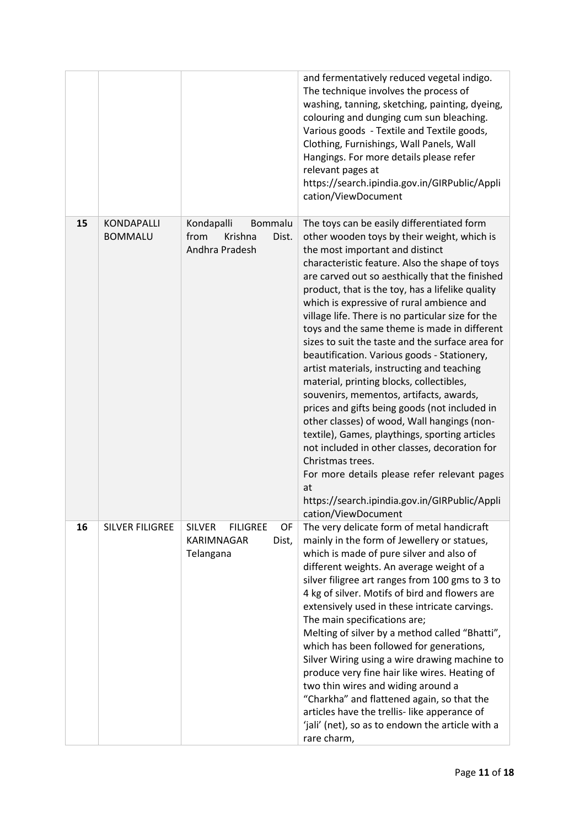|    |                                     |                                                                            | and fermentatively reduced vegetal indigo.<br>The technique involves the process of<br>washing, tanning, sketching, painting, dyeing,<br>colouring and dunging cum sun bleaching.<br>Various goods - Textile and Textile goods,<br>Clothing, Furnishings, Wall Panels, Wall<br>Hangings. For more details please refer<br>relevant pages at<br>https://search.ipindia.gov.in/GIRPublic/Appli<br>cation/ViewDocument                                                                                                                                                                                                                                                                                                                                                                                                                                                                                                                                                                                                                  |
|----|-------------------------------------|----------------------------------------------------------------------------|--------------------------------------------------------------------------------------------------------------------------------------------------------------------------------------------------------------------------------------------------------------------------------------------------------------------------------------------------------------------------------------------------------------------------------------------------------------------------------------------------------------------------------------------------------------------------------------------------------------------------------------------------------------------------------------------------------------------------------------------------------------------------------------------------------------------------------------------------------------------------------------------------------------------------------------------------------------------------------------------------------------------------------------|
| 15 | <b>KONDAPALLI</b><br><b>BOMMALU</b> | Kondapalli<br>Bommalu<br>from<br>Krishna<br>Dist.<br>Andhra Pradesh        | The toys can be easily differentiated form<br>other wooden toys by their weight, which is<br>the most important and distinct<br>characteristic feature. Also the shape of toys<br>are carved out so aesthically that the finished<br>product, that is the toy, has a lifelike quality<br>which is expressive of rural ambience and<br>village life. There is no particular size for the<br>toys and the same theme is made in different<br>sizes to suit the taste and the surface area for<br>beautification. Various goods - Stationery,<br>artist materials, instructing and teaching<br>material, printing blocks, collectibles,<br>souvenirs, mementos, artifacts, awards,<br>prices and gifts being goods (not included in<br>other classes) of wood, Wall hangings (non-<br>textile), Games, playthings, sporting articles<br>not included in other classes, decoration for<br>Christmas trees.<br>For more details please refer relevant pages<br>at<br>https://search.ipindia.gov.in/GIRPublic/Appli<br>cation/ViewDocument |
| 16 | SILVER FILIGREE                     | <b>SILVER</b><br><b>FILIGREE</b><br>OF<br>KARIMNAGAR<br>Dist,<br>Telangana | The very delicate form of metal handicraft<br>mainly in the form of Jewellery or statues,<br>which is made of pure silver and also of<br>different weights. An average weight of a<br>silver filigree art ranges from 100 gms to 3 to<br>4 kg of silver. Motifs of bird and flowers are<br>extensively used in these intricate carvings.<br>The main specifications are;<br>Melting of silver by a method called "Bhatti",<br>which has been followed for generations,<br>Silver Wiring using a wire drawing machine to<br>produce very fine hair like wires. Heating of<br>two thin wires and widing around a<br>"Charkha" and flattened again, so that the<br>articles have the trellis-like apperance of<br>'jali' (net), so as to endown the article with a<br>rare charm,                                                                                                                                                                                                                                                       |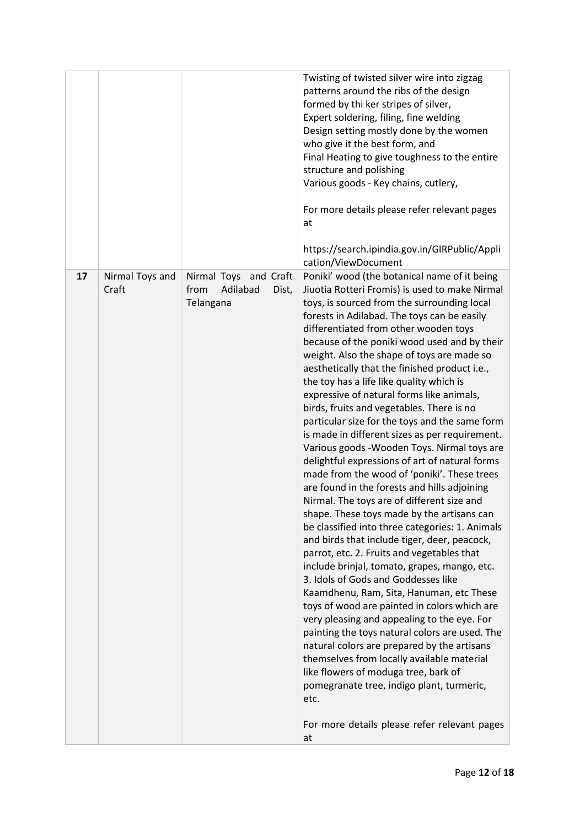|    |                          |                                                                 | Twisting of twisted silver wire into zigzag<br>patterns around the ribs of the design<br>formed by thi ker stripes of silver,<br>Expert soldering, filing, fine welding<br>Design setting mostly done by the women<br>who give it the best form, and<br>Final Heating to give toughness to the entire<br>structure and polishing<br>Various goods - Key chains, cutlery,<br>For more details please refer relevant pages<br>at<br>https://search.ipindia.gov.in/GIRPublic/Appli<br>cation/ViewDocument                                                                                                                                                                                                                                                                                                                                                                                                                                                                                                                                                                                                                                                                                                                                                                                                                                                                                                                                                                                                                                                                                                           |
|----|--------------------------|-----------------------------------------------------------------|------------------------------------------------------------------------------------------------------------------------------------------------------------------------------------------------------------------------------------------------------------------------------------------------------------------------------------------------------------------------------------------------------------------------------------------------------------------------------------------------------------------------------------------------------------------------------------------------------------------------------------------------------------------------------------------------------------------------------------------------------------------------------------------------------------------------------------------------------------------------------------------------------------------------------------------------------------------------------------------------------------------------------------------------------------------------------------------------------------------------------------------------------------------------------------------------------------------------------------------------------------------------------------------------------------------------------------------------------------------------------------------------------------------------------------------------------------------------------------------------------------------------------------------------------------------------------------------------------------------|
| 17 | Nirmal Toys and<br>Craft | Nirmal Toys and Craft<br>from<br>Adilabad<br>Dist,<br>Telangana | Poniki' wood (the botanical name of it being<br>Jiuotia Rotteri Fromis) is used to make Nirmal<br>toys, is sourced from the surrounding local<br>forests in Adilabad. The toys can be easily<br>differentiated from other wooden toys<br>because of the poniki wood used and by their<br>weight. Also the shape of toys are made so<br>aesthetically that the finished product i.e.,<br>the toy has a life like quality which is<br>expressive of natural forms like animals,<br>birds, fruits and vegetables. There is no<br>particular size for the toys and the same form<br>is made in different sizes as per requirement.<br>Various goods - Wooden Toys. Nirmal toys are<br>delightful expressions of art of natural forms<br>made from the wood of 'poniki'. These trees<br>are found in the forests and hills adjoining<br>Nirmal. The toys are of different size and<br>shape. These toys made by the artisans can<br>be classified into three categories: 1. Animals<br>and birds that include tiger, deer, peacock,<br>parrot, etc. 2. Fruits and vegetables that<br>include brinjal, tomato, grapes, mango, etc.<br>3. Idols of Gods and Goddesses like<br>Kaamdhenu, Ram, Sita, Hanuman, etc These<br>toys of wood are painted in colors which are<br>very pleasing and appealing to the eye. For<br>painting the toys natural colors are used. The<br>natural colors are prepared by the artisans<br>themselves from locally available material<br>like flowers of moduga tree, bark of<br>pomegranate tree, indigo plant, turmeric,<br>etc.<br>For more details please refer relevant pages<br>at |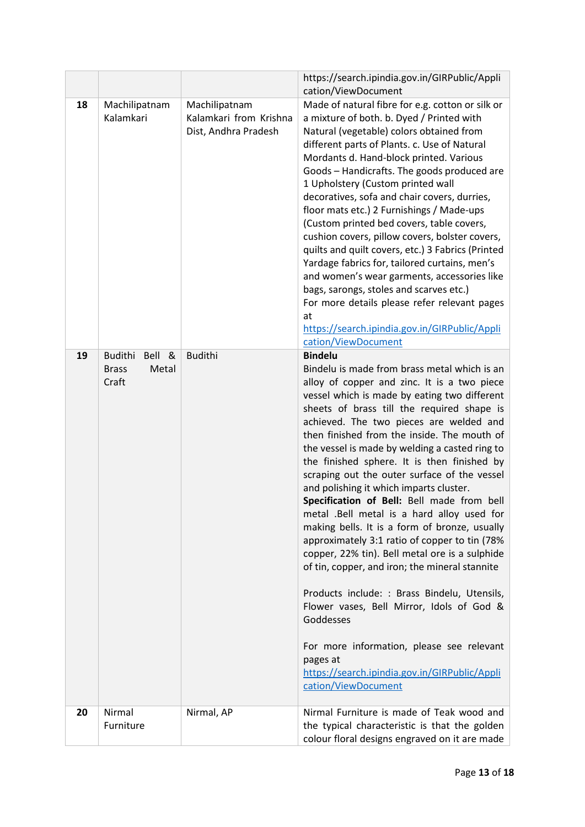|    |                                                            |                                                                 | https://search.ipindia.gov.in/GIRPublic/Appli                                                                                                                                                                                                                                                                                                                                                                                                                                                                                                                                                                                                                                                                                                                                                                                                                                                    |
|----|------------------------------------------------------------|-----------------------------------------------------------------|--------------------------------------------------------------------------------------------------------------------------------------------------------------------------------------------------------------------------------------------------------------------------------------------------------------------------------------------------------------------------------------------------------------------------------------------------------------------------------------------------------------------------------------------------------------------------------------------------------------------------------------------------------------------------------------------------------------------------------------------------------------------------------------------------------------------------------------------------------------------------------------------------|
| 18 | Machilipatnam<br>Kalamkari                                 | Machilipatnam<br>Kalamkari from Krishna<br>Dist, Andhra Pradesh | cation/ViewDocument<br>Made of natural fibre for e.g. cotton or silk or<br>a mixture of both. b. Dyed / Printed with<br>Natural (vegetable) colors obtained from<br>different parts of Plants. c. Use of Natural<br>Mordants d. Hand-block printed. Various<br>Goods - Handicrafts. The goods produced are<br>1 Upholstery (Custom printed wall<br>decoratives, sofa and chair covers, durries,<br>floor mats etc.) 2 Furnishings / Made-ups<br>(Custom printed bed covers, table covers,<br>cushion covers, pillow covers, bolster covers,<br>quilts and quilt covers, etc.) 3 Fabrics (Printed<br>Yardage fabrics for, tailored curtains, men's<br>and women's wear garments, accessories like<br>bags, sarongs, stoles and scarves etc.)<br>For more details please refer relevant pages<br>at<br>https://search.ipindia.gov.in/GIRPublic/Appli                                               |
|    |                                                            |                                                                 | cation/ViewDocument                                                                                                                                                                                                                                                                                                                                                                                                                                                                                                                                                                                                                                                                                                                                                                                                                                                                              |
| 19 | <b>Budithi</b><br>Bell &<br><b>Brass</b><br>Metal<br>Craft | <b>Budithi</b>                                                  | <b>Bindelu</b><br>Bindelu is made from brass metal which is an<br>alloy of copper and zinc. It is a two piece<br>vessel which is made by eating two different<br>sheets of brass till the required shape is<br>achieved. The two pieces are welded and<br>then finished from the inside. The mouth of<br>the vessel is made by welding a casted ring to<br>the finished sphere. It is then finished by<br>scraping out the outer surface of the vessel<br>and polishing it which imparts cluster.<br>Specification of Bell: Bell made from bell<br>metal .Bell metal is a hard alloy used for<br>making bells. It is a form of bronze, usually<br>approximately 3:1 ratio of copper to tin (78%<br>copper, 22% tin). Bell metal ore is a sulphide<br>of tin, copper, and iron; the mineral stannite<br>Products include: : Brass Bindelu, Utensils,<br>Flower vases, Bell Mirror, Idols of God & |
|    |                                                            |                                                                 | Goddesses<br>For more information, please see relevant<br>pages at<br>https://search.ipindia.gov.in/GIRPublic/Appli<br>cation/ViewDocument                                                                                                                                                                                                                                                                                                                                                                                                                                                                                                                                                                                                                                                                                                                                                       |
| 20 | Nirmal<br>Furniture                                        | Nirmal, AP                                                      | Nirmal Furniture is made of Teak wood and<br>the typical characteristic is that the golden<br>colour floral designs engraved on it are made                                                                                                                                                                                                                                                                                                                                                                                                                                                                                                                                                                                                                                                                                                                                                      |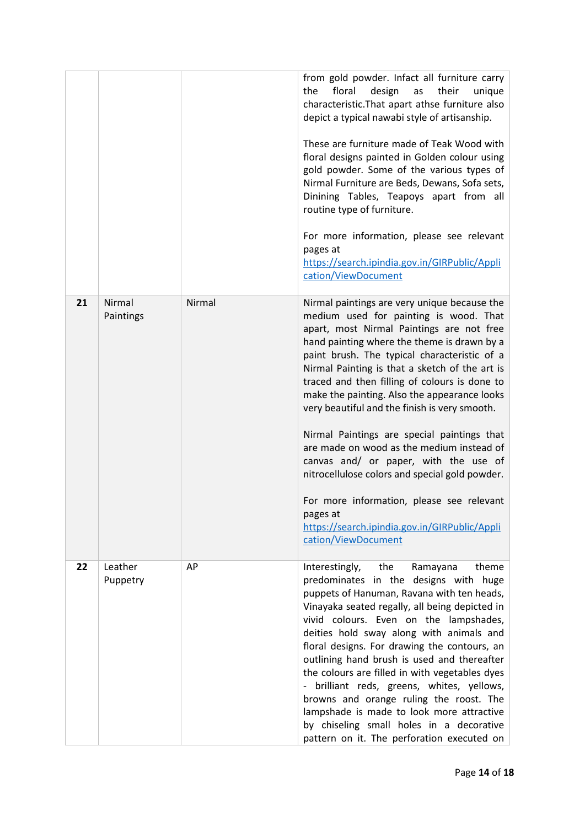|    |                     |        | from gold powder. Infact all furniture carry<br>design<br>the<br>floral<br>their<br>as<br>unique<br>characteristic. That apart athse furniture also<br>depict a typical nawabi style of artisanship.<br>These are furniture made of Teak Wood with<br>floral designs painted in Golden colour using<br>gold powder. Some of the various types of<br>Nirmal Furniture are Beds, Dewans, Sofa sets,<br>Dinining Tables, Teapoys apart from all<br>routine type of furniture.<br>For more information, please see relevant<br>pages at<br>https://search.ipindia.gov.in/GIRPublic/Appli<br>cation/ViewDocument                                                                                                                                                    |
|----|---------------------|--------|----------------------------------------------------------------------------------------------------------------------------------------------------------------------------------------------------------------------------------------------------------------------------------------------------------------------------------------------------------------------------------------------------------------------------------------------------------------------------------------------------------------------------------------------------------------------------------------------------------------------------------------------------------------------------------------------------------------------------------------------------------------|
| 21 | Nirmal<br>Paintings | Nirmal | Nirmal paintings are very unique because the<br>medium used for painting is wood. That<br>apart, most Nirmal Paintings are not free<br>hand painting where the theme is drawn by a<br>paint brush. The typical characteristic of a<br>Nirmal Painting is that a sketch of the art is<br>traced and then filling of colours is done to<br>make the painting. Also the appearance looks<br>very beautiful and the finish is very smooth.<br>Nirmal Paintings are special paintings that<br>are made on wood as the medium instead of<br>canvas and/ or paper, with the use of<br>nitrocellulose colors and special gold powder.<br>For more information, please see relevant<br>pages at<br>https://search.ipindia.gov.in/GIRPublic/Appli<br>cation/ViewDocument |
| 22 | Leather<br>Puppetry | AP     | theme<br>Interestingly,<br>the<br>Ramayana<br>predominates in the designs with huge<br>puppets of Hanuman, Ravana with ten heads,<br>Vinayaka seated regally, all being depicted in<br>vivid colours. Even on the lampshades,<br>deities hold sway along with animals and<br>floral designs. For drawing the contours, an<br>outlining hand brush is used and thereafter<br>the colours are filled in with vegetables dyes<br>- brilliant reds, greens, whites, yellows,<br>browns and orange ruling the roost. The<br>lampshade is made to look more attractive<br>by chiseling small holes in a decorative<br>pattern on it. The perforation executed on                                                                                                     |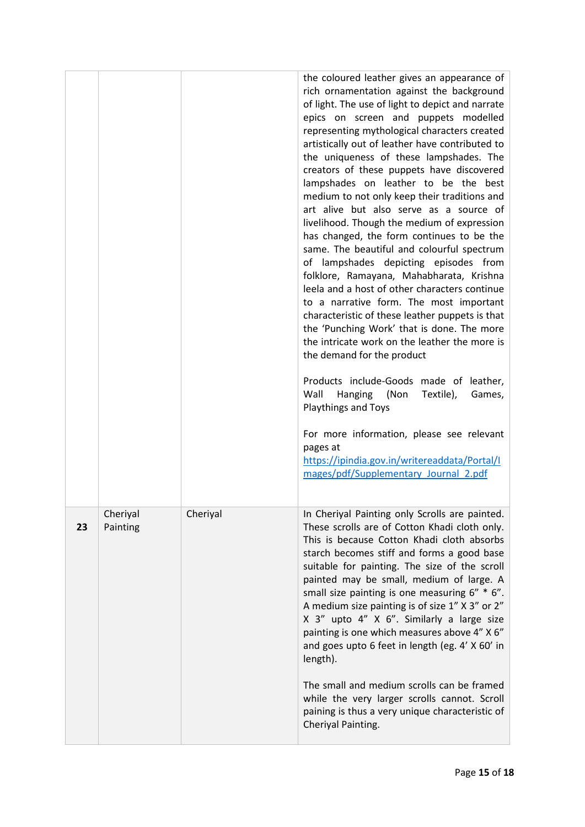|    |                      |          | the coloured leather gives an appearance of<br>rich ornamentation against the background<br>of light. The use of light to depict and narrate<br>epics on screen and puppets modelled<br>representing mythological characters created<br>artistically out of leather have contributed to<br>the uniqueness of these lampshades. The<br>creators of these puppets have discovered<br>lampshades on leather to be the best<br>medium to not only keep their traditions and<br>art alive but also serve as a source of<br>livelihood. Though the medium of expression<br>has changed, the form continues to be the<br>same. The beautiful and colourful spectrum<br>of lampshades depicting episodes from<br>folklore, Ramayana, Mahabharata, Krishna<br>leela and a host of other characters continue<br>to a narrative form. The most important<br>characteristic of these leather puppets is that<br>the 'Punching Work' that is done. The more<br>the intricate work on the leather the more is<br>the demand for the product<br>Products include-Goods made of leather,<br>Wall<br>Hanging (Non<br>Textile),<br>Games,<br><b>Playthings and Toys</b><br>For more information, please see relevant<br>pages at<br>https://ipindia.gov.in/writereaddata/Portal/I<br>mages/pdf/Supplementary Journal 2.pdf |
|----|----------------------|----------|----------------------------------------------------------------------------------------------------------------------------------------------------------------------------------------------------------------------------------------------------------------------------------------------------------------------------------------------------------------------------------------------------------------------------------------------------------------------------------------------------------------------------------------------------------------------------------------------------------------------------------------------------------------------------------------------------------------------------------------------------------------------------------------------------------------------------------------------------------------------------------------------------------------------------------------------------------------------------------------------------------------------------------------------------------------------------------------------------------------------------------------------------------------------------------------------------------------------------------------------------------------------------------------------------------|
| 23 | Cheriyal<br>Painting | Cheriyal | In Cheriyal Painting only Scrolls are painted.<br>These scrolls are of Cotton Khadi cloth only.<br>This is because Cotton Khadi cloth absorbs<br>starch becomes stiff and forms a good base<br>suitable for painting. The size of the scroll<br>painted may be small, medium of large. A<br>small size painting is one measuring 6" * 6".<br>A medium size painting is of size 1" X 3" or 2"<br>X 3" upto 4" X 6". Similarly a large size<br>painting is one which measures above 4" X 6"<br>and goes upto 6 feet in length (eg. 4' X 60' in<br>length).<br>The small and medium scrolls can be framed<br>while the very larger scrolls cannot. Scroll<br>paining is thus a very unique characteristic of<br>Cheriyal Painting.                                                                                                                                                                                                                                                                                                                                                                                                                                                                                                                                                                          |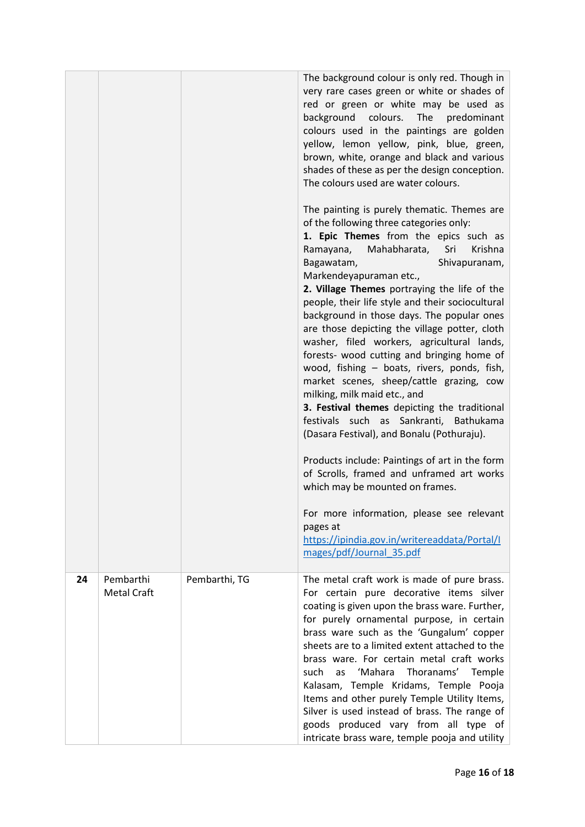|    |                                 |               | The background colour is only red. Though in<br>very rare cases green or white or shades of<br>red or green or white may be used as<br>background<br>colours. The predominant<br>colours used in the paintings are golden<br>yellow, lemon yellow, pink, blue, green,<br>brown, white, orange and black and various<br>shades of these as per the design conception.<br>The colours used are water colours.<br>The painting is purely thematic. Themes are<br>of the following three categories only:<br>1. Epic Themes from the epics such as<br>Ramayana, Mahabharata, Sri<br>Krishna<br>Bagawatam,<br>Shivapuranam,<br>Markendeyapuraman etc.,<br>2. Village Themes portraying the life of the<br>people, their life style and their sociocultural<br>background in those days. The popular ones<br>are those depicting the village potter, cloth<br>washer, filed workers, agricultural lands,<br>forests- wood cutting and bringing home of<br>wood, fishing - boats, rivers, ponds, fish,<br>market scenes, sheep/cattle grazing, cow<br>milking, milk maid etc., and<br>3. Festival themes depicting the traditional<br>festivals such as Sankranti, Bathukama<br>(Dasara Festival), and Bonalu (Pothuraju).<br>Products include: Paintings of art in the form<br>of Scrolls, framed and unframed art works<br>which may be mounted on frames.<br>For more information, please see relevant<br>pages at<br>https://ipindia.gov.in/writereaddata/Portal/I<br>mages/pdf/Journal 35.pdf |
|----|---------------------------------|---------------|---------------------------------------------------------------------------------------------------------------------------------------------------------------------------------------------------------------------------------------------------------------------------------------------------------------------------------------------------------------------------------------------------------------------------------------------------------------------------------------------------------------------------------------------------------------------------------------------------------------------------------------------------------------------------------------------------------------------------------------------------------------------------------------------------------------------------------------------------------------------------------------------------------------------------------------------------------------------------------------------------------------------------------------------------------------------------------------------------------------------------------------------------------------------------------------------------------------------------------------------------------------------------------------------------------------------------------------------------------------------------------------------------------------------------------------------------------------------------------------------|
| 24 | Pembarthi<br><b>Metal Craft</b> | Pembarthi, TG | The metal craft work is made of pure brass.<br>For certain pure decorative items silver<br>coating is given upon the brass ware. Further,<br>for purely ornamental purpose, in certain<br>brass ware such as the 'Gungalum' copper<br>sheets are to a limited extent attached to the<br>brass ware. For certain metal craft works<br>'Mahara<br>Thoranams'<br>Temple<br>such<br>as<br>Kalasam, Temple Kridams, Temple Pooja<br>Items and other purely Temple Utility Items,<br>Silver is used instead of brass. The range of<br>goods produced vary from all type of<br>intricate brass ware, temple pooja and utility                                                                                                                                                                                                                                                                                                                                                                                                                                                                                                                                                                                                                                                                                                                                                                                                                                                                      |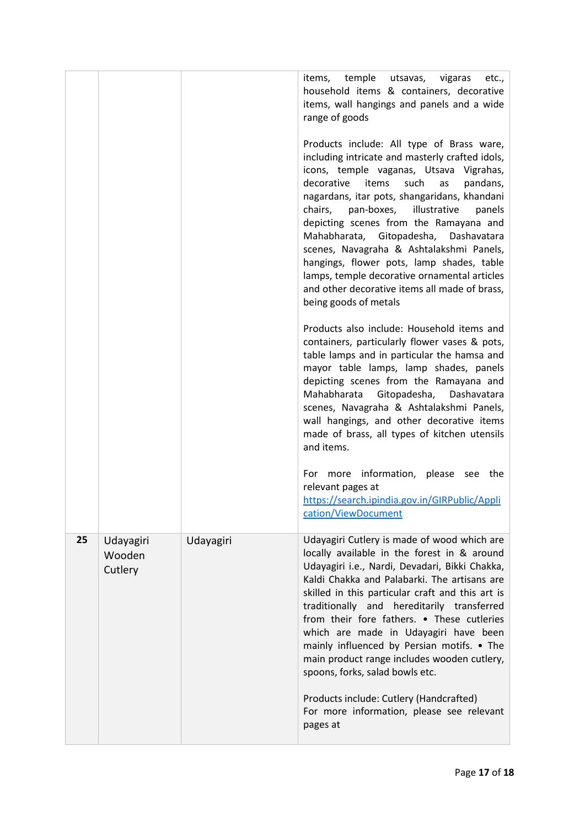|    |                                |           | temple<br>items,<br>utsavas,<br>vigaras<br>etc.,<br>household items & containers, decorative<br>items, wall hangings and panels and a wide<br>range of goods<br>Products include: All type of Brass ware,<br>including intricate and masterly crafted idols,<br>icons, temple vaganas, Utsava Vigrahas,<br>decorative<br>such<br>items<br>as<br>pandans,<br>nagardans, itar pots, shangaridans, khandani<br>chairs,<br>pan-boxes,<br>illustrative<br>panels<br>depicting scenes from the Ramayana and<br>Mahabharata, Gitopadesha, Dashavatara<br>scenes, Navagraha & Ashtalakshmi Panels,<br>hangings, flower pots, lamp shades, table<br>lamps, temple decorative ornamental articles<br>and other decorative items all made of brass,<br>being goods of metals<br>Products also include: Household items and<br>containers, particularly flower vases & pots,<br>table lamps and in particular the hamsa and<br>mayor table lamps, lamp shades, panels<br>depicting scenes from the Ramayana and<br>Mahabharata<br>Gitopadesha, Dashavatara<br>scenes, Navagraha & Ashtalakshmi Panels,<br>wall hangings, and other decorative items<br>made of brass, all types of kitchen utensils<br>and items.<br>For more information, please see the<br>relevant pages at |
|----|--------------------------------|-----------|--------------------------------------------------------------------------------------------------------------------------------------------------------------------------------------------------------------------------------------------------------------------------------------------------------------------------------------------------------------------------------------------------------------------------------------------------------------------------------------------------------------------------------------------------------------------------------------------------------------------------------------------------------------------------------------------------------------------------------------------------------------------------------------------------------------------------------------------------------------------------------------------------------------------------------------------------------------------------------------------------------------------------------------------------------------------------------------------------------------------------------------------------------------------------------------------------------------------------------------------------------------------|
|    |                                |           | https://search.ipindia.gov.in/GIRPublic/Appli<br>cation/ViewDocument                                                                                                                                                                                                                                                                                                                                                                                                                                                                                                                                                                                                                                                                                                                                                                                                                                                                                                                                                                                                                                                                                                                                                                                               |
| 25 | Udayagiri<br>Wooden<br>Cutlery | Udayagiri | Udayagiri Cutlery is made of wood which are<br>locally available in the forest in & around<br>Udayagiri i.e., Nardi, Devadari, Bikki Chakka,<br>Kaldi Chakka and Palabarki. The artisans are<br>skilled in this particular craft and this art is<br>traditionally and hereditarily transferred<br>from their fore fathers. • These cutleries<br>which are made in Udayagiri have been<br>mainly influenced by Persian motifs. • The<br>main product range includes wooden cutlery,<br>spoons, forks, salad bowls etc.<br>Products include: Cutlery (Handcrafted)<br>For more information, please see relevant<br>pages at                                                                                                                                                                                                                                                                                                                                                                                                                                                                                                                                                                                                                                          |